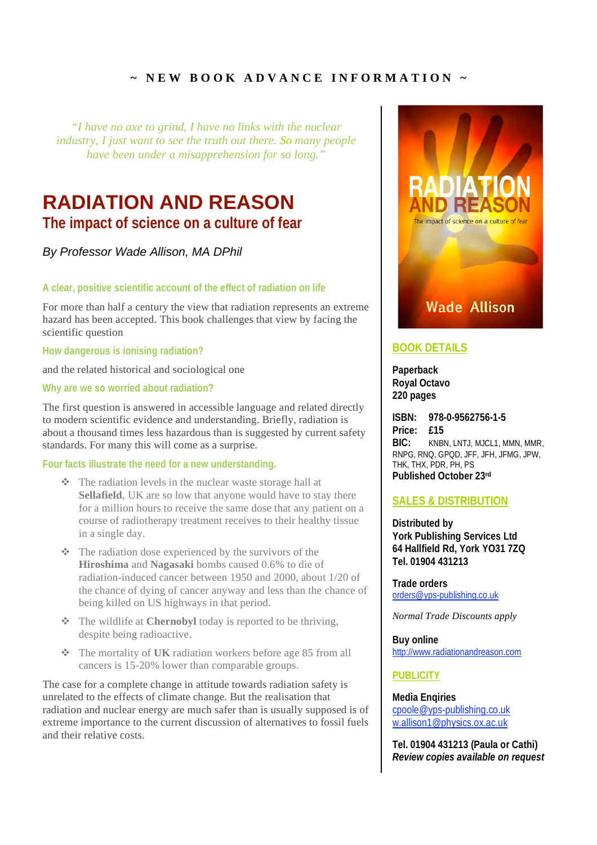## $\sim$  NEW BOOK ADVANCE INFORMATION  $\sim$

*"I have no axe to grind, I have no links with the nuclear industry, I just want to see the truth out there. So many people have been under a misapprehension for so long."*

# **RADIATION AND REASON**

**The impact of science on a culture of fear**

*By Professor Wade Allison, MA DPhil*

**A clear, positive scientific account of the effect of radiation on life**

For more than half a century the view that radiation represents an extreme hazard has been accepted. This book challenges that view by facing the scientific question

**How dangerous is ionising radiation?**

and the related historical and sociological one

**Why are we so worried about radiation?**

The first question is answered in accessible language and related directly to modern scientific evidence and understanding. Briefly, radiation is about a thousand times less hazardous than is suggested by current safety standards. For many this will come as a surprise.

#### **Four facts illustrate the need for a new understanding.**

- $\triangleleft$  The radiation levels in the nuclear waste storage hall at **Sellafield**, UK are so low that anyone would have to stay there for a million hours to receive the same dose that any patient on a course of radiotherapy treatment receives to their healthy tissue in a single day.
- $\triangle$  The radiation dose experienced by the survivors of the **Hiroshima** and **Nagasaki** bombs caused 0.6% to die of radiation-induced cancer between 1950 and 2000, about 1/20 of the chance of dying of cancer anyway and less than the chance of being killed on US highways in that period.
- The wildlife at **Chernobyl** today is reported to be thriving, despite being radioactive.
- The mortality of **UK** radiation workers before age 85 from all cancers is 15-20% lower than comparable groups.

The case for a complete change in attitude towards radiation safety is unrelated to the effects of climate change. But the realisation that radiation and nuclear energy are much safer than is usually supposed is of extreme importance to the current discussion of alternatives to fossil fuels and their relative costs.



### **BOOK DETAILS**

**Paperback Royal Octavo 220 pages**

**ISBN: 978-0-9562756-1-5 Price: £15 BIC:** KNBN, LNTJ, MJCL1, MMN, MMR, RNPG, RNQ, GPQD, JFF, JFH, JFMG, JPW, THK, THX, PDR, PH, PS **Published October 23rd**

### **SALES & DISTRIBUTION**

**Distributed by York Publishing Services Ltd 64 Hallfield Rd, York YO31 7ZQ Tel. 01904 431213**

**Trade orders** orders@yps-publishing.co.uk

*Normal Trade Discounts apply*

**Buy online** http://www.radiationandreason.com

#### **PUBLICITY**

**Media Enqiries** cpoole@yps-publishing.co.uk w.allison1@physics.ox.ac.uk

**Tel. 01904 431213 (Paula or Cathi)** *Review copies available on request*